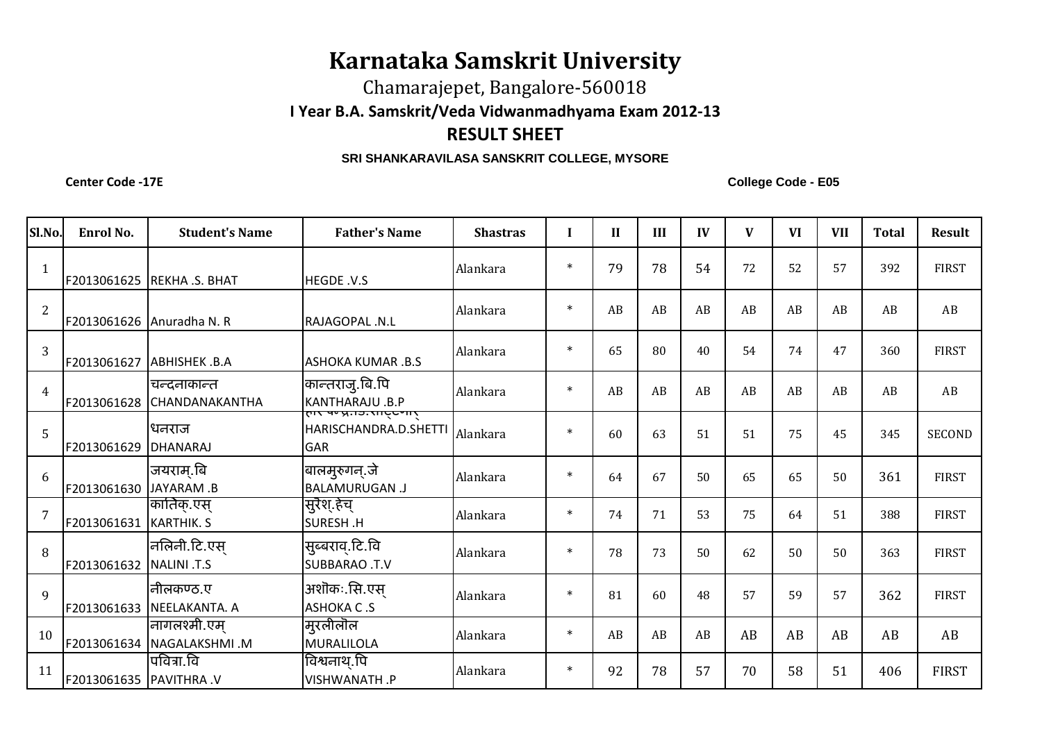## **Karnataka Samskrit University**

Chamarajepet, Bangalore-560018

**I Year B.A. Samskrit/Veda Vidwanmadhyama Exam 2012-13**

## **RESULT SHEET**

## **SRI SHANKARAVILASA SANSKRIT COLLEGE, MYSORE**

**Center Code -17E**

**College Code - E05**

| Sl.No.         | Enrol No.              | <b>Student's Name</b>                     | <b>Father's Name</b>                                                 | <b>Shastras</b> | I      | $\mathbf{I}$ | III | IV | V  | <b>VI</b> | <b>VII</b> | <b>Total</b> | <b>Result</b> |
|----------------|------------------------|-------------------------------------------|----------------------------------------------------------------------|-----------------|--------|--------------|-----|----|----|-----------|------------|--------------|---------------|
| $\mathbf{1}$   |                        | F2013061625 REKHA .S. BHAT                | HEGDE .V.S                                                           | Alankara        | $\ast$ | 79           | 78  | 54 | 72 | 52        | 57         | 392          | <b>FIRST</b>  |
| 2              |                        | F2013061626 Anuradha N. R                 | RAJAGOPAL .N.L                                                       | Alankara        | $\ast$ | AB           | AB  | AB | AB | AB        | AB         | AB           | AB            |
| 3              | F2013061627            | <b>ABHISHEK .B.A</b>                      | <b>ASHOKA KUMAR .B.S</b>                                             | Alankara        | $\ast$ | 65           | 80  | 40 | 54 | 74        | 47         | 360          | <b>FIRST</b>  |
| $\overline{4}$ | F2013061628            | चन्दनाकान्त<br><b>CHANDANAKANTHA</b>      | कान्तराजु.बि.पि<br>KANTHARAJU .B.P<br> रुग्ड पण्न्र.गञ्जराष्ट्रण्गर् | Alankara        | $\ast$ | AB           | AB  | AB | AB | AB        | AB         | AB           | AB            |
| $\overline{5}$ | F2013061629            | धनराज<br><b>DHANARAJ</b>                  | HARISCHANDRA.D.SHETTI<br><b>GAR</b>                                  | Alankara        | $\ast$ | 60           | 63  | 51 | 51 | 75        | 45         | 345          | <b>SECOND</b> |
| 6              | F2013061630 JAYARAM .B | जयराम.बि                                  | बालमुरुगन्.जे<br><b>BALAMURUGAN .J</b>                               | Alankara        | $\ast$ | 64           | 67  | 50 | 65 | 65        | 50         | 361          | <b>FIRST</b>  |
| $\overline{7}$ | F2013061631            | कार्तिक्.एस्<br><b>KARTHIK. S</b>         | सुरैश.हेच्<br>SURESH.H                                               | Alankara        | $\ast$ | 74           | 71  | 53 | 75 | 64        | 51         | 388          | <b>FIRST</b>  |
| 8              | F2013061632            | नलिनी.टि.एस्<br>NALINI .T.S               | सुब्बराव्.टि.वि<br><b>SUBBARAO .T.V</b>                              | Alankara        | $\ast$ | 78           | 73  | 50 | 62 | 50        | 50         | 363          | <b>FIRST</b>  |
| 9              | F2013061633            | नीिलकण्ठ.ए<br>NEELAKANTA. A               | अशॊकः.सि.एस्<br><b>ASHOKA C.S</b>                                    | Alankara        | $\ast$ | 81           | 60  | 48 | 57 | 59        | 57         | 362          | <b>FIRST</b>  |
| 10             |                        | नागलश्मी.एम्<br>F2013061634 NAGALAKSHMI.M | मुरलीलॊल<br>MURALILOLA                                               | Alankara        | $\ast$ | AB           | AB  | AB | AB | AB        | AB         | AB           | AB            |
| 11             | F2013061635 PAVITHRA V | पवित्रा.वि                                | विश्वनाथ.पि<br>VISHWANATH.P                                          | Alankara        | $\ast$ | 92           | 78  | 57 | 70 | 58        | 51         | 406          | <b>FIRST</b>  |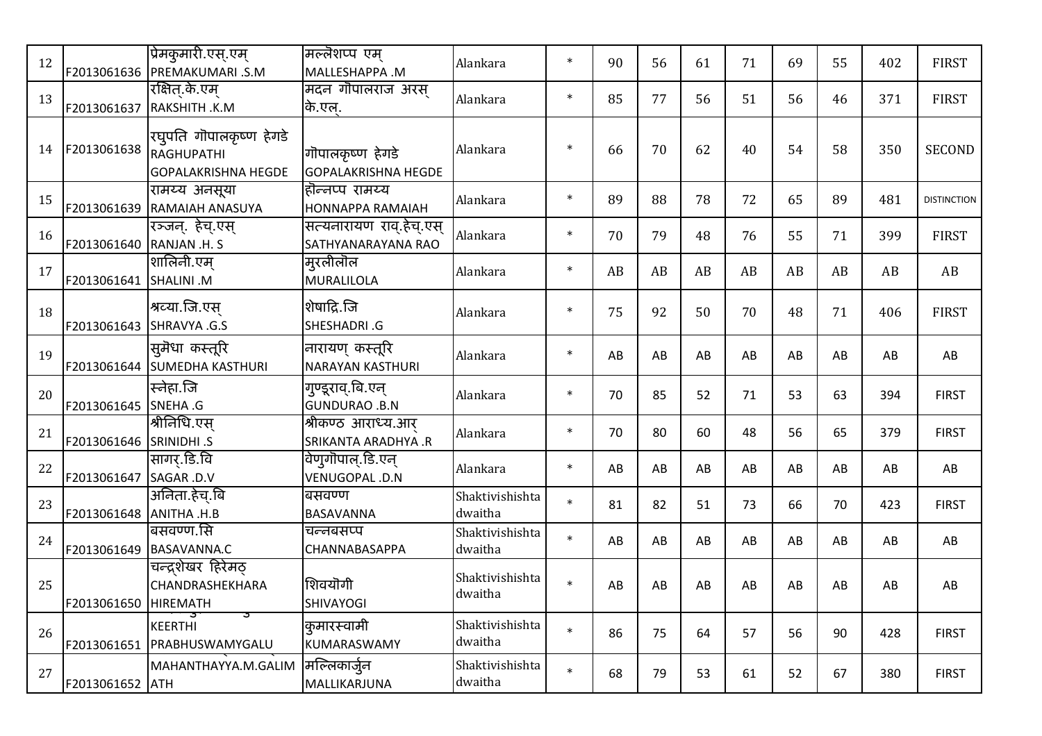| 12 |                          | प्रिमकुमारी.एस्.एम्<br>F2013061636 PREMAKUMARI .S.M                 | मल्लॆशप्प एम<br>MALLESHAPPA .M                 | Alankara                   | $\ast$ | 90 | 56 | 61 | 71 | 69 | 55 | 402 | <b>FIRST</b>       |
|----|--------------------------|---------------------------------------------------------------------|------------------------------------------------|----------------------------|--------|----|----|----|----|----|----|-----|--------------------|
| 13 | F2013061637              | रक्षित्.के.एम्<br>RAKSHITH .K.M                                     | मदन गोपालराज अरस्<br>कि.एल.                    | Alankara                   | $\ast$ | 85 | 77 | 56 | 51 | 56 | 46 | 371 | <b>FIRST</b>       |
| 14 | F2013061638              | रघुपति गॊपालकृष्ण हेगडे<br>RAGHUPATHI<br><b>GOPALAKRISHNA HEGDE</b> | गॊपालकृष्ण हेगडे<br><b>GOPALAKRISHNA HEGDE</b> | Alankara                   | $\ast$ | 66 | 70 | 62 | 40 | 54 | 58 | 350 | <b>SECOND</b>      |
| 15 | F2013061639              | रामय्य अनसूया<br><b>RAMAIAH ANASUYA</b>                             | होन्नप्प रामय्य<br>HONNAPPA RAMAIAH            | Alankara                   | $\ast$ | 89 | 88 | 78 | 72 | 65 | 89 | 481 | <b>DISTINCTION</b> |
| 16 | F2013061640 RANJAN .H. S | रञ्जन्. हेच्.एस्                                                    | सत्यनारायण राव.हेच्.एस्<br>SATHYANARAYANA RAO  | Alankara                   | $\ast$ | 70 | 79 | 48 | 76 | 55 | 71 | 399 | <b>FIRST</b>       |
| 17 | F2013061641 SHALINI .M   | शालिनी.एम                                                           | मुरलीलॊल<br>MURALILOLA                         | Alankara                   | $\ast$ | AB | AB | AB | AB | AB | AB | AB  | AB                 |
| 18 | F2013061643 SHRAVYA .G.S | श्रव्या.जि.एस                                                       | शेषाद्रि.जि<br>SHESHADRI.G                     | Alankara                   | $\ast$ | 75 | 92 | 50 | 70 | 48 | 71 | 406 | <b>FIRST</b>       |
| 19 |                          | सुमॆधा कस्तूरि<br>F2013061644 SUMEDHA KASTHURI                      | नारायण कस्तूरि<br><b>NARAYAN KASTHURI</b>      | Alankara                   | $\ast$ | AB | AB | AB | AB | AB | AB | AB  | AB                 |
| 20 | F2013061645 SNEHA .G     | स्नेहा.जि                                                           | गुण्डूराव्.बि.एन्<br><b>GUNDURAO .B.N</b>      | Alankara                   | $\ast$ | 70 | 85 | 52 | 71 | 53 | 63 | 394 | <b>FIRST</b>       |
| 21 | F2013061646 SRINIDHI .S  | श्रीनिधि एस                                                         | श्रीकण्ठ आराध्य.आर<br>SRIKANTA ARADHYA.R       | Alankara                   | $\ast$ | 70 | 80 | 60 | 48 | 56 | 65 | 379 | <b>FIRST</b>       |
| 22 | F2013061647              | सागर.डि.वि<br>SAGAR .D.V                                            | वेणुगॊपाल्.डि.एन्<br>VENUGOPAL .D.N            | Alankara                   | $\ast$ | AB | AB | AB | AB | AB | AB | AB  | AB                 |
| 23 | F2013061648 ANITHA.H.B   | अनिता.हेच.बि                                                        | बसवण्ण<br><b>BASAVANNA</b>                     | Shaktivishishta<br>dwaitha | $\ast$ | 81 | 82 | 51 | 73 | 66 | 70 | 423 | <b>FIRST</b>       |
| 24 |                          | बसवण्ण.सि<br>F2013061649 BASAVANNA.C                                | चन्नबसप्प<br>CHANNABASAPPA                     | Shaktivishishta<br>dwaitha | $\ast$ | AB | AB | AB | AB | AB | AB | AB  | AB                 |
| 25 | F2013061650   HIREMATH   | चन्द्रशेखर हिरेमठ्<br><b>CHANDRASHEKHARA</b>                        | शिवयॊगी<br><b>SHIVAYOGI</b>                    | Shaktivishishta<br>dwaitha | $\ast$ | AB | AB | AB | AB | AB | AB | AB  | AB                 |
| 26 |                          | ာ<br><b>KEERTHI</b><br>F2013061651 PRABHUSWAMYGALU                  | कुमारस्वामी<br>KUMARASWAMY                     | Shaktivishishta<br>dwaitha | $\ast$ | 86 | 75 | 64 | 57 | 56 | 90 | 428 | <b>FIRST</b>       |
| 27 | F2013061652 ATH          | MAHANTHAYYA.M.GALIM                                                 | मल्लिकार्जुन<br>MALLIKARJUNA                   | Shaktivishishta<br>dwaitha | $\ast$ | 68 | 79 | 53 | 61 | 52 | 67 | 380 | <b>FIRST</b>       |